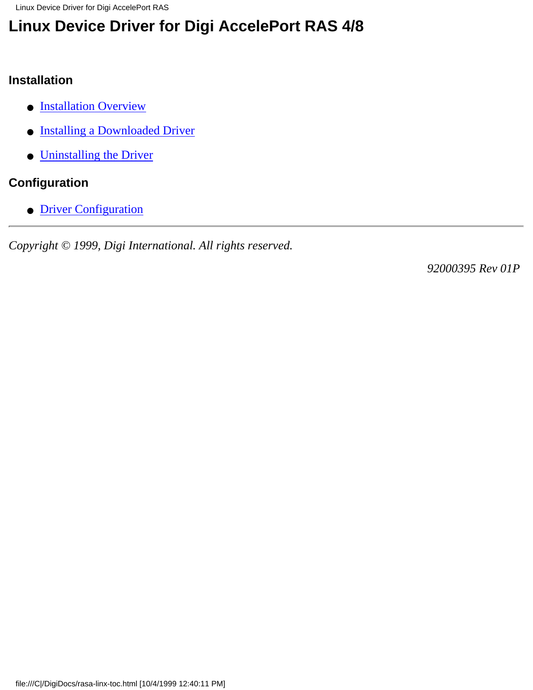Linux Device Driver for Digi AccelePort RAS

# **Linux Device Driver for Digi AccelePort RAS 4/8**

#### **Installation**

- **[Installation Overview](#page-1-0)**
- [Installing a Downloaded Driver](#page-2-0)
- [Uninstalling the Driver](#page-3-0)

#### **Configuration**

● [Driver Configuration](#page-4-0)

*Copyright © 1999, Digi International. All rights reserved.*

*92000395 Rev 01P*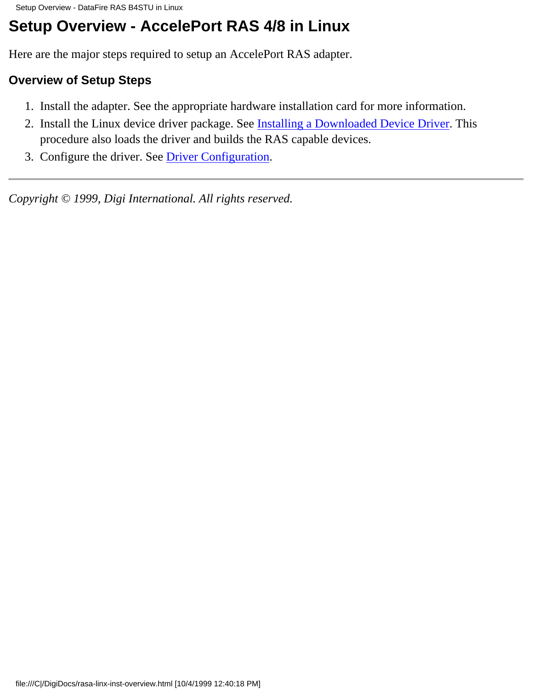# <span id="page-1-0"></span>**Setup Overview - AccelePort RAS 4/8 in Linux**

Here are the major steps required to setup an AccelePort RAS adapter.

#### **Overview of Setup Steps**

- 1. Install the adapter. See the appropriate hardware installation card for more information.
- 2. Install the Linux device driver package. See **[Installing a Downloaded Device Driver](#page-2-0)**. This procedure also loads the driver and builds the RAS capable devices.
- 3. Configure the driver. See [Driver Configuration.](#page-4-0)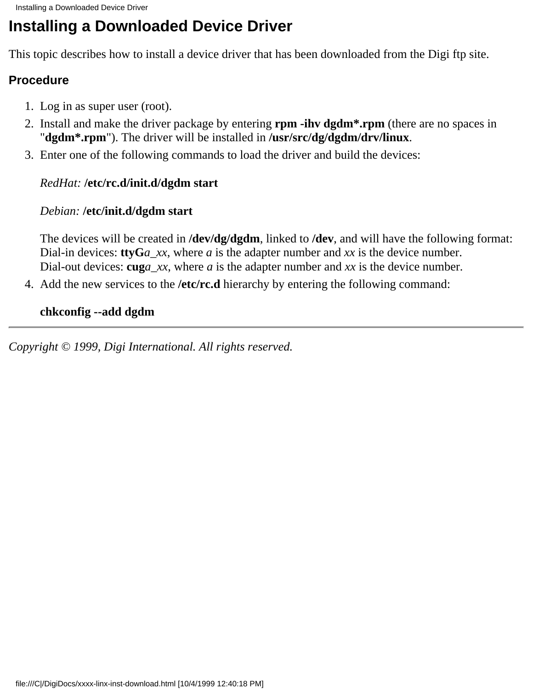# <span id="page-2-0"></span>**Installing a Downloaded Device Driver**

This topic describes how to install a device driver that has been downloaded from the Digi ftp site.

#### **Procedure**

- 1. Log in as super user (root).
- 2. Install and make the driver package by entering **rpm -ihv dgdm<sup>\*</sup>.rpm** (there are no spaces in "**dgdm\*.rpm**"). The driver will be installed in **/usr/src/dg/dgdm/drv/linux**.
- Enter one of the following commands to load the driver and build the devices: 3.

#### *RedHat:* **/etc/rc.d/init.d/dgdm start**

#### *Debian:* **/etc/init.d/dgdm start**

The devices will be created in **/dev/dg/dgdm**, linked to **/dev**, and will have the following format: Dial-in devices: **ttyG***a\_xx*, where *a* is the adapter number and *xx* is the device number. Dial-out devices: **cug***a\_xx*, where *a* is the adapter number and *xx* is the device number.

4. Add the new services to the /etc/rc.d hierarchy by entering the following command:

#### **chkconfig --add dgdm**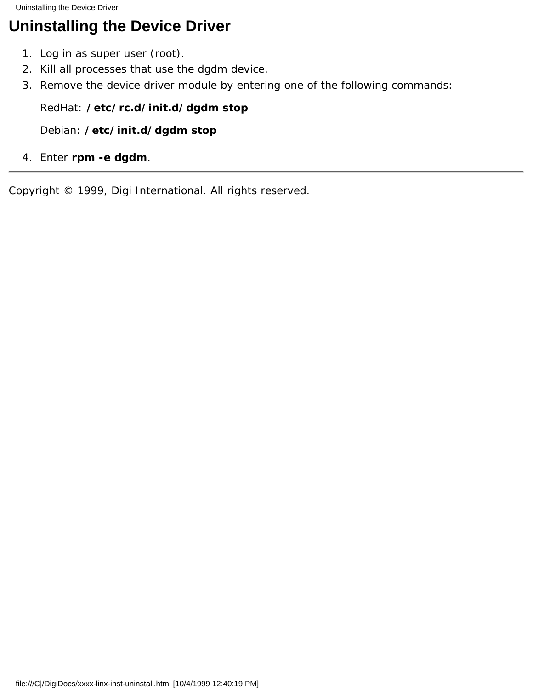<span id="page-3-0"></span>Uninstalling the Device Driver

# **Uninstalling the Device Driver**

- 1. Log in as super user (root).
- 2. Kill all processes that use the dgdm device.
- 3. Remove the device driver module by entering one of the following commands:

#### *RedHat:* **/etc/rc.d/init.d/dgdm stop**

*Debian:* **/etc/init.d/dgdm stop**

4. Enter **rpm -e dgdm**.